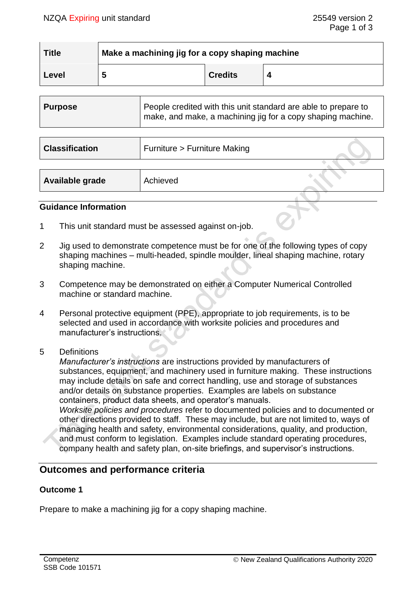| <b>Title</b> | Make a machining jig for a copy shaping machine |                |  |
|--------------|-------------------------------------------------|----------------|--|
| Level        | э                                               | <b>Credits</b> |  |

| <b>Purpose</b> | People credited with this unit standard are able to prepare to<br>make, and make, a machining jig for a copy shaping machine. |
|----------------|-------------------------------------------------------------------------------------------------------------------------------|
|                |                                                                                                                               |

| <b>Classification</b> | Furniture > Furniture Making |  |
|-----------------------|------------------------------|--|
|                       |                              |  |
| Available grade       | Achieved                     |  |

# **Guidance Information**

- 1 This unit standard must be assessed against on-job.
- 2 Jig used to demonstrate competence must be for one of the following types of copy shaping machines – multi-headed, spindle moulder, lineal shaping machine, rotary shaping machine.
- 3 Competence may be demonstrated on either a Computer Numerical Controlled machine or standard machine.
- 4 Personal protective equipment (PPE), appropriate to job requirements, is to be selected and used in accordance with worksite policies and procedures and manufacturer's instructions.
- 5 Definitions

*Manufacturer's instructions* are instructions provided by manufacturers of substances, equipment, and machinery used in furniture making. These instructions may include details on safe and correct handling, use and storage of substances and/or details on substance properties. Examples are labels on substance containers, product data sheets, and operator's manuals.

*Worksite policies and procedures* refer to documented policies and to documented or other directions provided to staff. These may include, but are not limited to, ways of managing health and safety, environmental considerations, quality, and production, and must conform to legislation. Examples include standard operating procedures, company health and safety plan, on-site briefings, and supervisor's instructions.

# **Outcomes and performance criteria**

# **Outcome 1**

Prepare to make a machining jig for a copy shaping machine.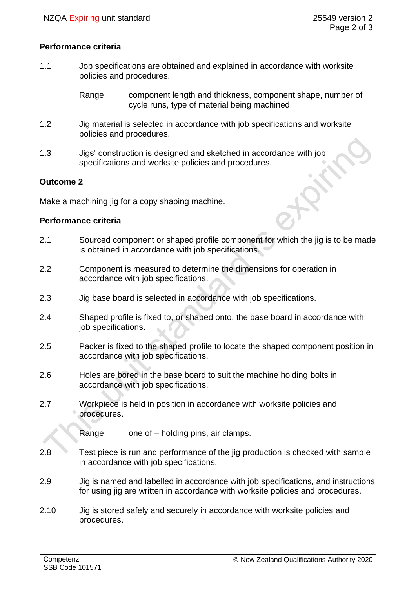# **Performance criteria**

1.1 Job specifications are obtained and explained in accordance with worksite policies and procedures.

> Range component length and thickness, component shape, number of cycle runs, type of material being machined.

- 1.2 Jig material is selected in accordance with job specifications and worksite policies and procedures.
- 1.3 Jigs' construction is designed and sketched in accordance with job specifications and worksite policies and procedures.

# **Outcome 2**

Make a machining jig for a copy shaping machine.

# **Performance criteria**

- 2.1 Sourced component or shaped profile component for which the jig is to be made is obtained in accordance with job specifications.
- 2.2 Component is measured to determine the dimensions for operation in accordance with job specifications.
- 2.3 Jig base board is selected in accordance with job specifications.
- 2.4 Shaped profile is fixed to, or shaped onto, the base board in accordance with job specifications.
- 2.5 Packer is fixed to the shaped profile to locate the shaped component position in accordance with job specifications.
- 2.6 Holes are bored in the base board to suit the machine holding bolts in accordance with job specifications.
- 2.7 Workpiece is held in position in accordance with worksite policies and procedures.

Range one of – holding pins, air clamps.

- 2.8 Test piece is run and performance of the jig production is checked with sample in accordance with job specifications.
- 2.9 Jig is named and labelled in accordance with job specifications, and instructions for using jig are written in accordance with worksite policies and procedures.
- 2.10 Jig is stored safely and securely in accordance with worksite policies and procedures.